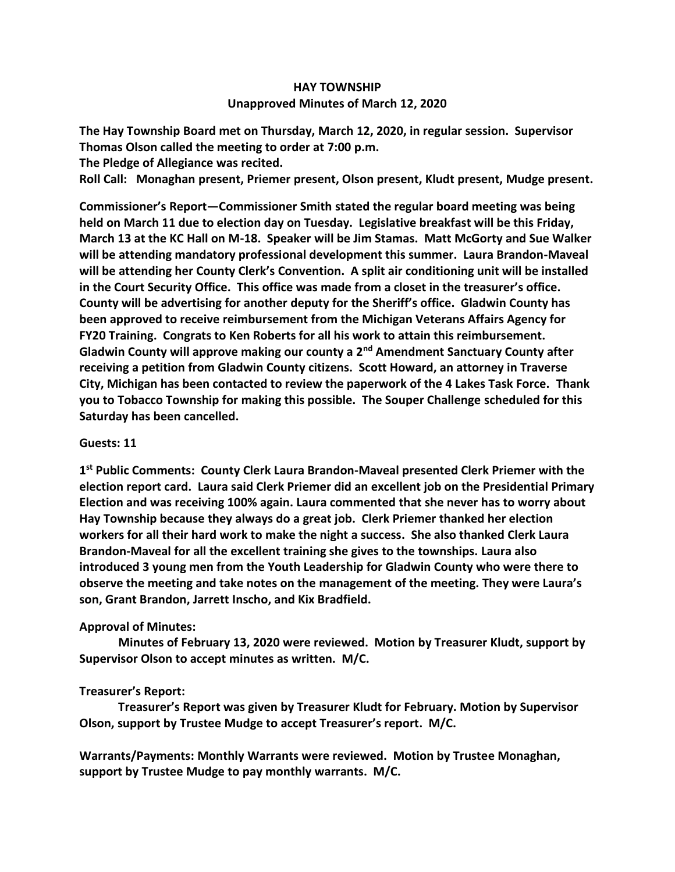## **HAY TOWNSHIP Unapproved Minutes of March 12, 2020**

**The Hay Township Board met on Thursday, March 12, 2020, in regular session. Supervisor Thomas Olson called the meeting to order at 7:00 p.m.** 

**The Pledge of Allegiance was recited.** 

**Roll Call: Monaghan present, Priemer present, Olson present, Kludt present, Mudge present.**

**Commissioner's Report—Commissioner Smith stated the regular board meeting was being held on March 11 due to election day on Tuesday. Legislative breakfast will be this Friday, March 13 at the KC Hall on M-18. Speaker will be Jim Stamas. Matt McGorty and Sue Walker will be attending mandatory professional development this summer. Laura Brandon-Maveal will be attending her County Clerk's Convention. A split air conditioning unit will be installed in the Court Security Office. This office was made from a closet in the treasurer's office. County will be advertising for another deputy for the Sheriff's office. Gladwin County has been approved to receive reimbursement from the Michigan Veterans Affairs Agency for FY20 Training. Congrats to Ken Roberts for all his work to attain this reimbursement. Gladwin County will approve making our county a 2nd Amendment Sanctuary County after receiving a petition from Gladwin County citizens. Scott Howard, an attorney in Traverse City, Michigan has been contacted to review the paperwork of the 4 Lakes Task Force. Thank you to Tobacco Township for making this possible. The Souper Challenge scheduled for this Saturday has been cancelled.** 

## **Guests: 11**

**1 st Public Comments: County Clerk Laura Brandon-Maveal presented Clerk Priemer with the election report card. Laura said Clerk Priemer did an excellent job on the Presidential Primary Election and was receiving 100% again. Laura commented that she never has to worry about Hay Township because they always do a great job. Clerk Priemer thanked her election workers for all their hard work to make the night a success. She also thanked Clerk Laura Brandon-Maveal for all the excellent training she gives to the townships. Laura also introduced 3 young men from the Youth Leadership for Gladwin County who were there to observe the meeting and take notes on the management of the meeting. They were Laura's son, Grant Brandon, Jarrett Inscho, and Kix Bradfield.**

## **Approval of Minutes:**

 **Minutes of February 13, 2020 were reviewed. Motion by Treasurer Kludt, support by Supervisor Olson to accept minutes as written. M/C.**

## **Treasurer's Report:**

 **Treasurer's Report was given by Treasurer Kludt for February. Motion by Supervisor Olson, support by Trustee Mudge to accept Treasurer's report. M/C.**

**Warrants/Payments: Monthly Warrants were reviewed. Motion by Trustee Monaghan, support by Trustee Mudge to pay monthly warrants. M/C.**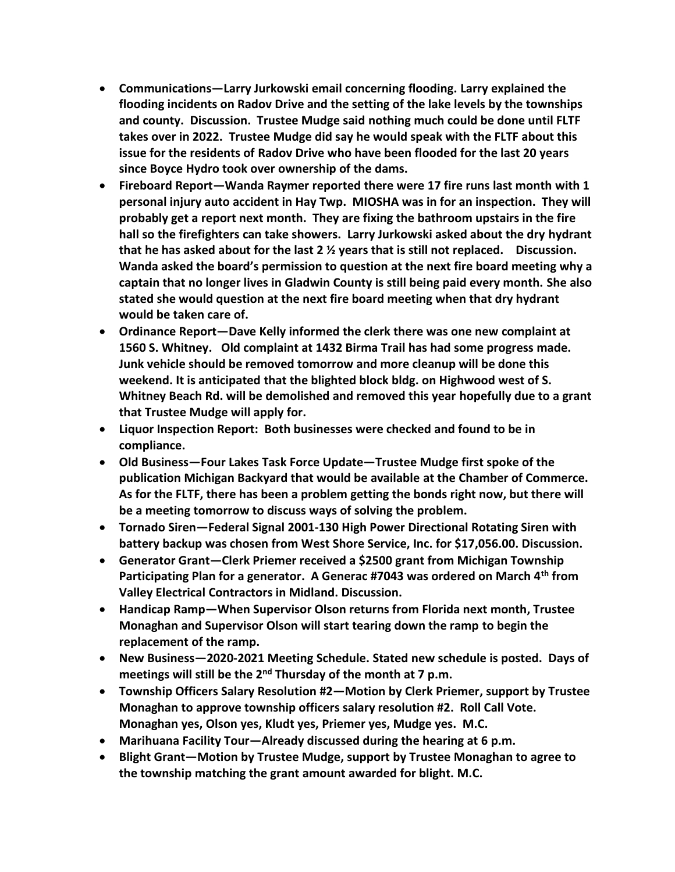- **Communications—Larry Jurkowski email concerning flooding. Larry explained the flooding incidents on Radov Drive and the setting of the lake levels by the townships and county. Discussion. Trustee Mudge said nothing much could be done until FLTF takes over in 2022. Trustee Mudge did say he would speak with the FLTF about this issue for the residents of Radov Drive who have been flooded for the last 20 years since Boyce Hydro took over ownership of the dams.**
- **Fireboard Report—Wanda Raymer reported there were 17 fire runs last month with 1 personal injury auto accident in Hay Twp. MIOSHA was in for an inspection. They will probably get a report next month. They are fixing the bathroom upstairs in the fire hall so the firefighters can take showers. Larry Jurkowski asked about the dry hydrant that he has asked about for the last 2 ½ years that is still not replaced. Discussion. Wanda asked the board's permission to question at the next fire board meeting why a captain that no longer lives in Gladwin County is still being paid every month. She also stated she would question at the next fire board meeting when that dry hydrant would be taken care of.**
- **Ordinance Report—Dave Kelly informed the clerk there was one new complaint at 1560 S. Whitney. Old complaint at 1432 Birma Trail has had some progress made. Junk vehicle should be removed tomorrow and more cleanup will be done this weekend. It is anticipated that the blighted block bldg. on Highwood west of S. Whitney Beach Rd. will be demolished and removed this year hopefully due to a grant that Trustee Mudge will apply for.**
- **Liquor Inspection Report: Both businesses were checked and found to be in compliance.**
- **Old Business—Four Lakes Task Force Update—Trustee Mudge first spoke of the publication Michigan Backyard that would be available at the Chamber of Commerce. As for the FLTF, there has been a problem getting the bonds right now, but there will be a meeting tomorrow to discuss ways of solving the problem.**
- **Tornado Siren—Federal Signal 2001-130 High Power Directional Rotating Siren with battery backup was chosen from West Shore Service, Inc. for \$17,056.00. Discussion.**
- **Generator Grant—Clerk Priemer received a \$2500 grant from Michigan Township Participating Plan for a generator. A Generac #7043 was ordered on March 4th from Valley Electrical Contractors in Midland. Discussion.**
- **Handicap Ramp—When Supervisor Olson returns from Florida next month, Trustee Monaghan and Supervisor Olson will start tearing down the ramp to begin the replacement of the ramp.**
- **New Business—2020-2021 Meeting Schedule. Stated new schedule is posted. Days of meetings will still be the 2nd Thursday of the month at 7 p.m.**
- **Township Officers Salary Resolution #2—Motion by Clerk Priemer, support by Trustee Monaghan to approve township officers salary resolution #2. Roll Call Vote. Monaghan yes, Olson yes, Kludt yes, Priemer yes, Mudge yes. M.C.**
- **Marihuana Facility Tour—Already discussed during the hearing at 6 p.m.**
- **Blight Grant—Motion by Trustee Mudge, support by Trustee Monaghan to agree to the township matching the grant amount awarded for blight. M.C.**